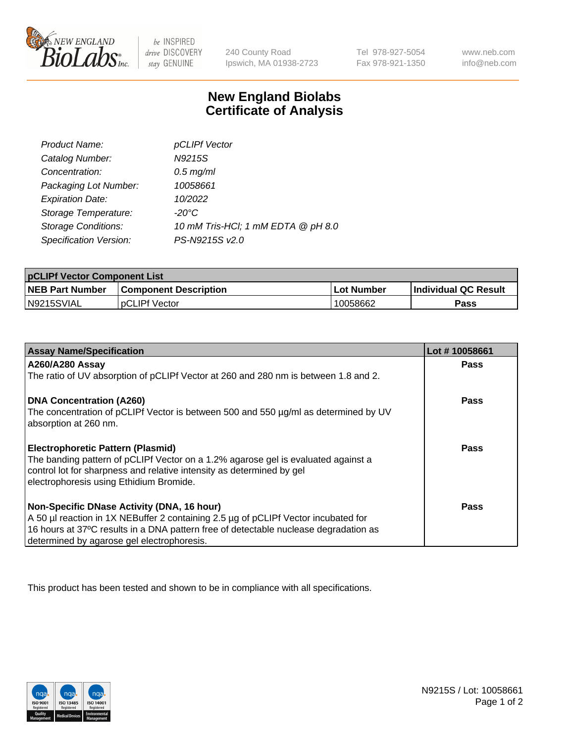

 $be$  INSPIRED drive DISCOVERY stay GENUINE

240 County Road Ipswich, MA 01938-2723 Tel 978-927-5054 Fax 978-921-1350 www.neb.com info@neb.com

## **New England Biolabs Certificate of Analysis**

| Product Name:              | pCLIPf Vector                      |
|----------------------------|------------------------------------|
| Catalog Number:            | N9215S                             |
| Concentration:             | $0.5$ mg/ml                        |
| Packaging Lot Number:      | 10058661                           |
| <b>Expiration Date:</b>    | 10/2022                            |
| Storage Temperature:       | $-20^{\circ}$ C                    |
| <b>Storage Conditions:</b> | 10 mM Tris-HCl; 1 mM EDTA @ pH 8.0 |
| Specification Version:     | PS-N9215S v2.0                     |

| <b>pCLIPf Vector Component List</b> |                              |                   |                             |  |
|-------------------------------------|------------------------------|-------------------|-----------------------------|--|
| <b>NEB Part Number</b>              | <b>Component Description</b> | <b>Lot Number</b> | <b>Individual QC Result</b> |  |
| IN9215SVIAL                         | <b>DCLIPf Vector</b>         | 10058662          | Pass                        |  |

| <b>Assay Name/Specification</b>                                                      | Lot #10058661 |
|--------------------------------------------------------------------------------------|---------------|
| <b>A260/A280 Assay</b>                                                               | <b>Pass</b>   |
| The ratio of UV absorption of pCLIPf Vector at 260 and 280 nm is between 1.8 and 2.  |               |
| DNA Concentration (A260)                                                             | <b>Pass</b>   |
| The concentration of pCLIPf Vector is between 500 and 550 µg/ml as determined by UV  |               |
| absorption at 260 nm.                                                                |               |
| <b>Electrophoretic Pattern (Plasmid)</b>                                             | Pass          |
| The banding pattern of pCLIPf Vector on a 1.2% agarose gel is evaluated against a    |               |
| control lot for sharpness and relative intensity as determined by gel                |               |
| electrophoresis using Ethidium Bromide.                                              |               |
| Non-Specific DNase Activity (DNA, 16 hour)                                           | Pass          |
| A 50 µl reaction in 1X NEBuffer 2 containing 2.5 µg of pCLIPf Vector incubated for   |               |
| 16 hours at 37°C results in a DNA pattern free of detectable nuclease degradation as |               |
| determined by agarose gel electrophoresis.                                           |               |

This product has been tested and shown to be in compliance with all specifications.